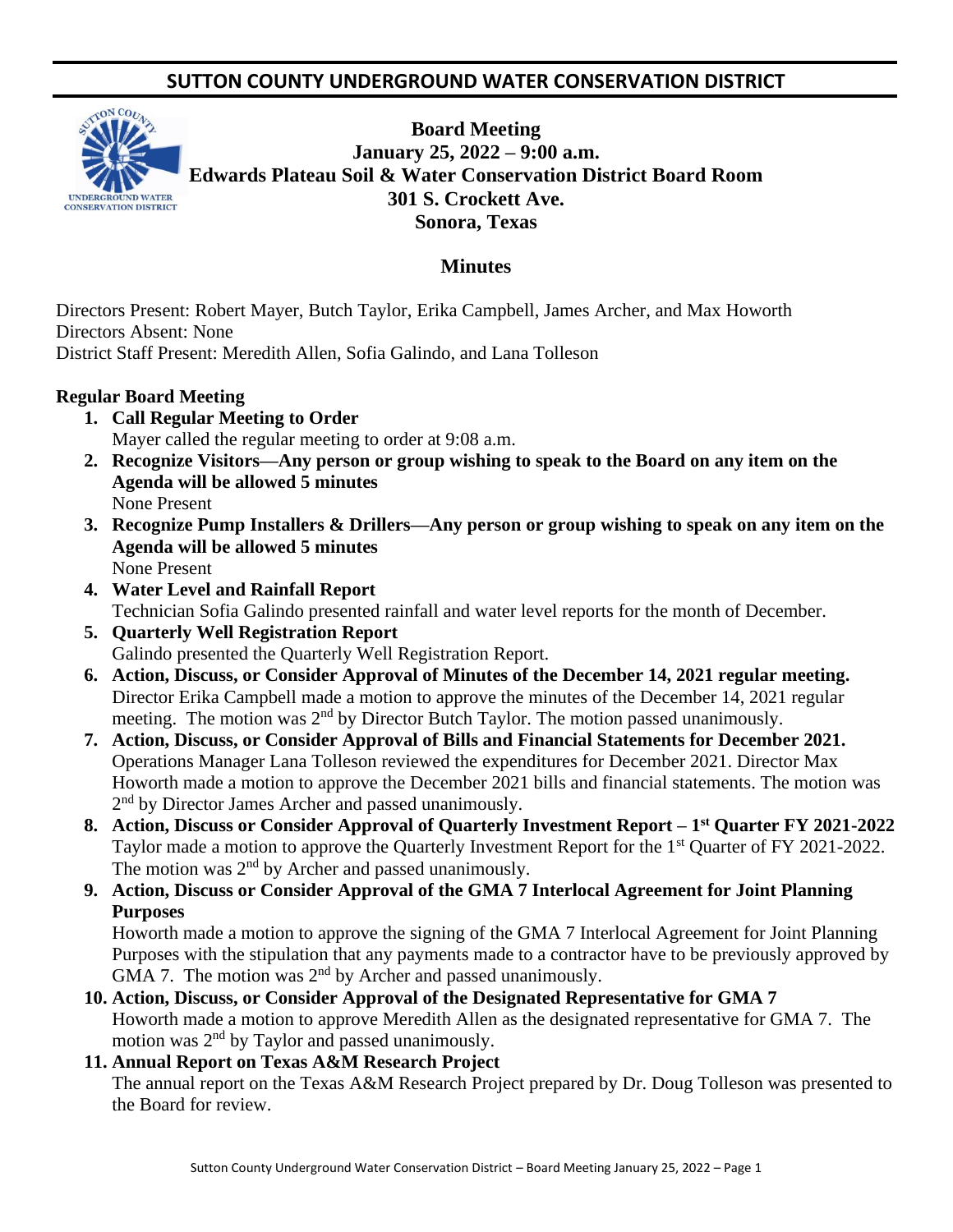# **SUTTON COUNTY UNDERGROUND WATER CONSERVATION DISTRICT**



**Board Meeting January 25, 2022 – 9:00 a.m. Edwards Plateau Soil & Water Conservation District Board Room 301 S. Crockett Ave. Sonora, Texas** 

## **Minutes**

Directors Present: Robert Mayer, Butch Taylor, Erika Campbell, James Archer, and Max Howorth Directors Absent: None District Staff Present: Meredith Allen, Sofia Galindo, and Lana Tolleson

#### **Regular Board Meeting**

- **1. Call Regular Meeting to Order** Mayer called the regular meeting to order at 9:08 a.m.
- **2. Recognize Visitors—Any person or group wishing to speak to the Board on any item on the Agenda will be allowed 5 minutes** None Present
- **3. Recognize Pump Installers & Drillers—Any person or group wishing to speak on any item on the Agenda will be allowed 5 minutes** None Present
- **4. Water Level and Rainfall Report** Technician Sofia Galindo presented rainfall and water level reports for the month of December.
- **5. Quarterly Well Registration Report** Galindo presented the Quarterly Well Registration Report.
- **6. Action, Discuss, or Consider Approval of Minutes of the December 14, 2021 regular meeting.** Director Erika Campbell made a motion to approve the minutes of the December 14, 2021 regular meeting. The motion was 2<sup>nd</sup> by Director Butch Taylor. The motion passed unanimously.
- **7. Action, Discuss, or Consider Approval of Bills and Financial Statements for December 2021.** Operations Manager Lana Tolleson reviewed the expenditures for December 2021. Director Max Howorth made a motion to approve the December 2021 bills and financial statements. The motion was 2<sup>nd</sup> by Director James Archer and passed unanimously.
- **8. Action, Discuss or Consider Approval of Quarterly Investment Report – 1 st Quarter FY 2021-2022** Taylor made a motion to approve the Quarterly Investment Report for the 1<sup>st</sup> Quarter of FY 2021-2022. The motion was  $2<sup>nd</sup>$  by Archer and passed unanimously.
- **9. Action, Discuss or Consider Approval of the GMA 7 Interlocal Agreement for Joint Planning Purposes**

Howorth made a motion to approve the signing of the GMA 7 Interlocal Agreement for Joint Planning Purposes with the stipulation that any payments made to a contractor have to be previously approved by GMA 7. The motion was  $2<sup>nd</sup>$  by Archer and passed unanimously.

**10. Action, Discuss, or Consider Approval of the Designated Representative for GMA 7** Howorth made a motion to approve Meredith Allen as the designated representative for GMA 7. The motion was  $2<sup>nd</sup>$  by Taylor and passed unanimously.

## **11. Annual Report on Texas A&M Research Project**

The annual report on the Texas A&M Research Project prepared by Dr. Doug Tolleson was presented to the Board for review.